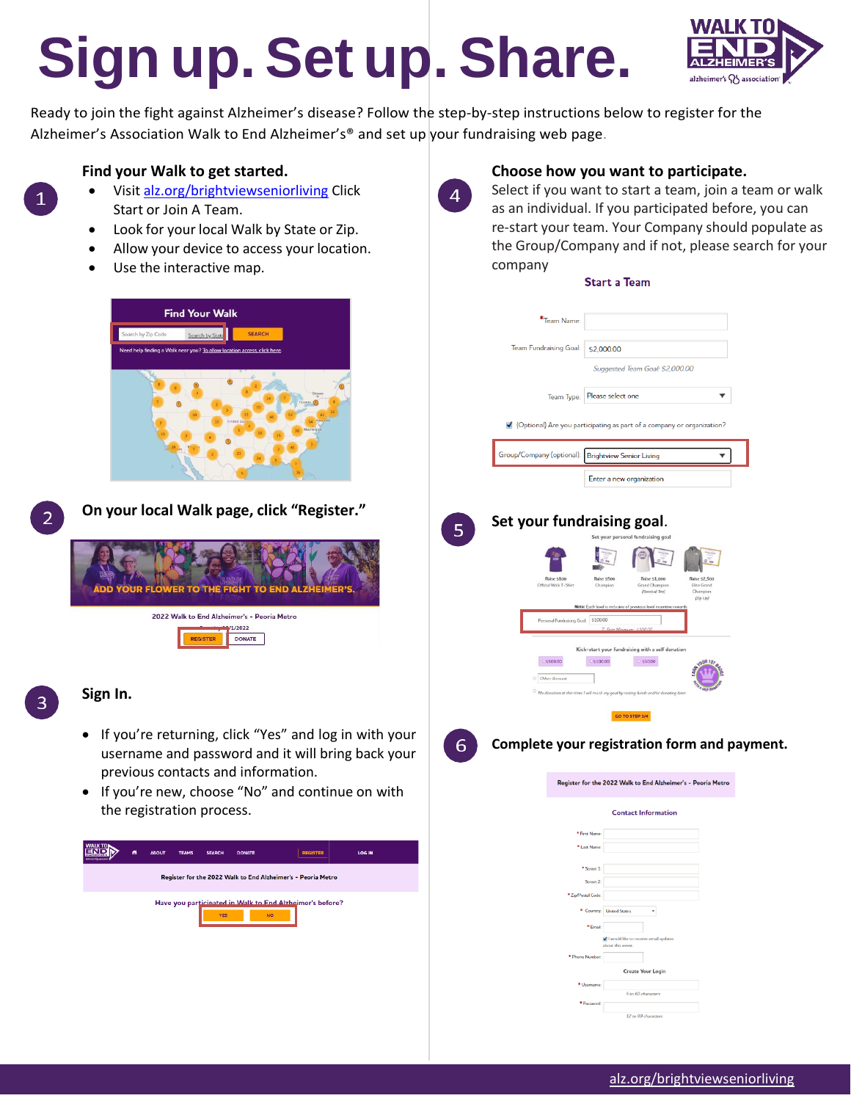# **Sign up.Set up. Share.**



Ready to join the fight against Alzheimer's disease? Follow the step-by-step instructions below to register for the Alzheimer's Association Walk to End Alzheimer's® and set up your fundraising web page.

 $\overline{4}$ 

 $\overline{5}$ 

6

## **Find your Walk to get started.**

- Visit [alz.org/brightviewseniorliving](http://www.alz.org/brightviewseniorliving) Click Start or Join A Team.
- Look for your local Walk by State or Zip.
- Allow your device to access your location.
- Use the interactive map.





 $\mathbf{1}$ 

**On your local Walk page, click "Register."**



### **Sign In.**

- If you're returning, click "Yes" and log in with your username and password and it will bring back your previous contacts and information.
- If you're new, choose "No" and continue on with the registration process.



# **Choose how you want to participate.**

Select if you want to start a team, join a team or walk as an individual. If you participated before, you can re-start your team. Your Company should populate as the Group/Company and if not, please search for your company

#### **Start a Team**

|  | *Team Name:                         |                                                                                                |  |  |  |  |
|--|-------------------------------------|------------------------------------------------------------------------------------------------|--|--|--|--|
|  |                                     |                                                                                                |  |  |  |  |
|  | Team Fundraising Goal:              | \$2,000.00                                                                                     |  |  |  |  |
|  |                                     | Suggested Team Goal: \$2,000.00                                                                |  |  |  |  |
|  |                                     |                                                                                                |  |  |  |  |
|  | Team Type:                          | Please select one                                                                              |  |  |  |  |
|  |                                     |                                                                                                |  |  |  |  |
|  |                                     | Optional) Are you participating as part of a company or organization?                          |  |  |  |  |
|  |                                     |                                                                                                |  |  |  |  |
|  | Group/Company (optional):           | <b>Brightview Senior Living</b>                                                                |  |  |  |  |
|  |                                     | Enter a new organization                                                                       |  |  |  |  |
|  |                                     |                                                                                                |  |  |  |  |
|  |                                     |                                                                                                |  |  |  |  |
|  | Set your fundraising goal.          |                                                                                                |  |  |  |  |
|  |                                     | Set your personal fundraising goal                                                             |  |  |  |  |
|  |                                     |                                                                                                |  |  |  |  |
|  |                                     |                                                                                                |  |  |  |  |
|  | Raise \$100                         | Raise \$500<br>Raise \$1,000<br><b>Raise \$2,500</b>                                           |  |  |  |  |
|  | Official Walk T-Shirt               | Champion<br>Grand Champio<br>Elite Grand<br>(Baseball Tee)<br>Chan<br>(Zip Up)                 |  |  |  |  |
|  |                                     | Note: Each level is inclusive of previous level in                                             |  |  |  |  |
|  | Personal Fundraising Goal: \$100.00 |                                                                                                |  |  |  |  |
|  |                                     |                                                                                                |  |  |  |  |
|  |                                     | Kick-start your fundraising with a self donation                                               |  |  |  |  |
|  | C\$500.00                           | C \$100.00<br>6550.00<br>$0$ UR <sub>15</sub>                                                  |  |  |  |  |
|  | Other Amount                        |                                                                                                |  |  |  |  |
|  |                                     | $^{\circ}$ No donation at this time; I will reach my goal by raising funds and/or donating lat |  |  |  |  |
|  |                                     | GO TO STEP 3/4                                                                                 |  |  |  |  |
|  |                                     |                                                                                                |  |  |  |  |
|  |                                     | Complete your registration form and payment.                                                   |  |  |  |  |
|  |                                     |                                                                                                |  |  |  |  |
|  |                                     |                                                                                                |  |  |  |  |
|  |                                     | Register for the 2022 Walk to End Alzheimer's - Peoria Metro                                   |  |  |  |  |
|  |                                     |                                                                                                |  |  |  |  |
|  |                                     | <b>Contact Information</b>                                                                     |  |  |  |  |
|  |                                     | <sup>*</sup> First Name:                                                                       |  |  |  |  |
|  |                                     | * Last Name:                                                                                   |  |  |  |  |
|  |                                     | * Street 1:                                                                                    |  |  |  |  |
|  |                                     | Street 2:                                                                                      |  |  |  |  |
|  | * Zip/Postal Code:                  |                                                                                                |  |  |  |  |
|  |                                     | * Country: United States                                                                       |  |  |  |  |
|  |                                     | *Fmail:                                                                                        |  |  |  |  |
|  |                                     | V I would like to receive email updates                                                        |  |  |  |  |
|  | * Phone Number:                     | about this event.                                                                              |  |  |  |  |
|  |                                     | <b>Create Your Login</b>                                                                       |  |  |  |  |
|  |                                     | * Username:                                                                                    |  |  |  |  |
|  |                                     | 5 to 60 characters<br>* Password:                                                              |  |  |  |  |
|  |                                     | 12 to 99 characters                                                                            |  |  |  |  |
|  |                                     |                                                                                                |  |  |  |  |